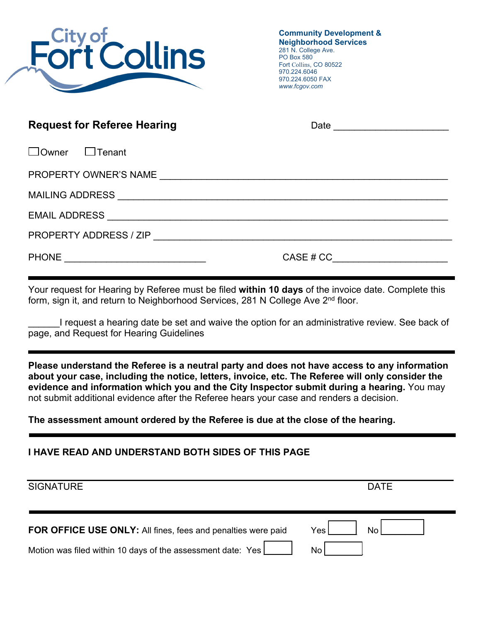

**Community Development & Neighborhood Services**  281 N. College Ave. PO Box 580 Fort Collins, CO 80522 970.224.6046 970.224.6050 FAX *www.fcgov.com* 

| <b>Request for Referee Hearing</b> | Date <u>_______________</u> |
|------------------------------------|-----------------------------|
| $\Box$ Owner<br>$\Box$ Tenant      |                             |
|                                    |                             |
|                                    |                             |
|                                    |                             |
|                                    |                             |
|                                    | CASE # CC                   |

Your request for Hearing by Referee must be filed **within 10 days** of the invoice date. Complete this form, sign it, and return to Neighborhood Services, 281 N College Ave 2<sup>nd</sup> floor.

I request a hearing date be set and waive the option for an administrative review. See back of page, and Request for Hearing Guidelines

**Please understand the Referee is a neutral party and does not have access to any information about your case, including the notice, letters, invoice, etc. The Referee will only consider the evidence and information which you and the City Inspector submit during a hearing.** You may not submit additional evidence after the Referee hears your case and renders a decision.

**The assessment amount ordered by the Referee is due at the close of the hearing.** 

## **I HAVE READ AND UNDERSTAND BOTH SIDES OF THIS PAGE**

| <b>SIGNATURE</b>                                                    | <b>DATE</b> |
|---------------------------------------------------------------------|-------------|
| <b>FOR OFFICE USE ONLY:</b> All fines, fees and penalties were paid | Nο<br>Yes   |
| Motion was filed within 10 days of the assessment date: Yes         | N٥          |